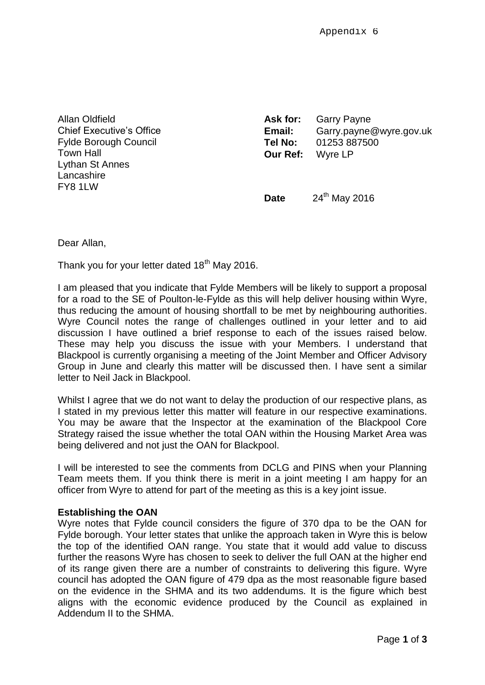Allan Oldfield Chief Executive's Office Fylde Borough Council Town Hall Lythan St Annes **Lancashire** FY8 1LW

| Ask for:        | <b>Garry Payne</b>      |
|-----------------|-------------------------|
| Email:          | Garry.payne@wyre.gov.uk |
| Tel No:         | 01253 887500            |
| <b>Our Ref:</b> | Wyre LP                 |
|                 |                         |

**Date** 24<sup>th</sup> May 2016

Dear Allan,

Thank you for your letter dated 18<sup>th</sup> May 2016.

I am pleased that you indicate that Fylde Members will be likely to support a proposal for a road to the SE of Poulton-le-Fylde as this will help deliver housing within Wyre, thus reducing the amount of housing shortfall to be met by neighbouring authorities. Wyre Council notes the range of challenges outlined in your letter and to aid discussion I have outlined a brief response to each of the issues raised below. These may help you discuss the issue with your Members. I understand that Blackpool is currently organising a meeting of the Joint Member and Officer Advisory Group in June and clearly this matter will be discussed then. I have sent a similar letter to Neil Jack in Blackpool.

Whilst I agree that we do not want to delay the production of our respective plans, as I stated in my previous letter this matter will feature in our respective examinations. You may be aware that the Inspector at the examination of the Blackpool Core Strategy raised the issue whether the total OAN within the Housing Market Area was being delivered and not just the OAN for Blackpool.

I will be interested to see the comments from DCLG and PINS when your Planning Team meets them. If you think there is merit in a joint meeting I am happy for an officer from Wyre to attend for part of the meeting as this is a key joint issue.

## **Establishing the OAN**

Wyre notes that Fylde council considers the figure of 370 dpa to be the OAN for Fylde borough. Your letter states that unlike the approach taken in Wyre this is below the top of the identified OAN range. You state that it would add value to discuss further the reasons Wyre has chosen to seek to deliver the full OAN at the higher end of its range given there are a number of constraints to delivering this figure. Wyre council has adopted the OAN figure of 479 dpa as the most reasonable figure based on the evidence in the SHMA and its two addendums. It is the figure which best aligns with the economic evidence produced by the Council as explained in Addendum II to the SHMA.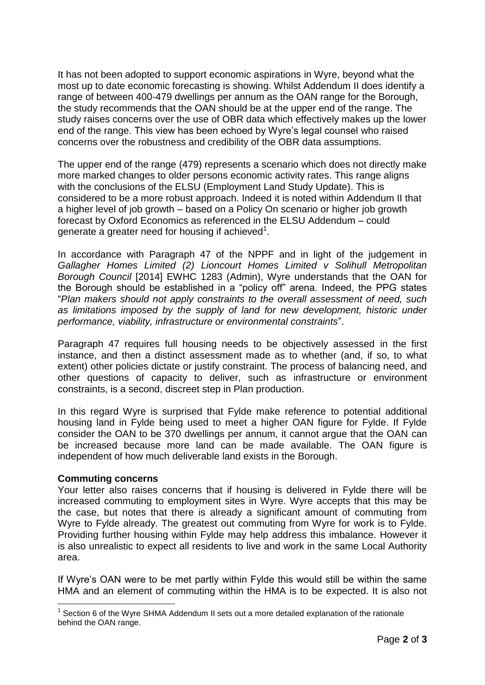It has not been adopted to support economic aspirations in Wyre, beyond what the most up to date economic forecasting is showing. Whilst Addendum II does identify a range of between 400-479 dwellings per annum as the OAN range for the Borough, the study recommends that the OAN should be at the upper end of the range. The study raises concerns over the use of OBR data which effectively makes up the lower end of the range. This view has been echoed by Wyre's legal counsel who raised concerns over the robustness and credibility of the OBR data assumptions.

The upper end of the range (479) represents a scenario which does not directly make more marked changes to older persons economic activity rates. This range aligns with the conclusions of the ELSU (Employment Land Study Update). This is considered to be a more robust approach. Indeed it is noted within Addendum II that a higher level of job growth – based on a Policy On scenario or higher job growth forecast by Oxford Economics as referenced in the ELSU Addendum – could generate a greater need for housing if achieved<sup>1</sup>.

In accordance with Paragraph 47 of the NPPF and in light of the judgement in *Gallagher Homes Limited (2) Lioncourt Homes Limited v Solihull Metropolitan Borough Council* [2014] EWHC 1283 (Admin), Wyre understands that the OAN for the Borough should be established in a "policy off" arena. Indeed, the PPG states "*Plan makers should not apply constraints to the overall assessment of need, such as limitations imposed by the supply of land for new development, historic under performance, viability, infrastructure or environmental constraints*".

Paragraph 47 requires full housing needs to be objectively assessed in the first instance, and then a distinct assessment made as to whether (and, if so, to what extent) other policies dictate or justify constraint. The process of balancing need, and other questions of capacity to deliver, such as infrastructure or environment constraints, is a second, discreet step in Plan production.

In this regard Wyre is surprised that Fylde make reference to potential additional housing land in Fylde being used to meet a higher OAN figure for Fylde. If Fylde consider the OAN to be 370 dwellings per annum, it cannot argue that the OAN can be increased because more land can be made available. The OAN figure is independent of how much deliverable land exists in the Borough.

## **Commuting concerns**

Your letter also raises concerns that if housing is delivered in Fylde there will be increased commuting to employment sites in Wyre. Wyre accepts that this may be the case, but notes that there is already a significant amount of commuting from Wyre to Fylde already. The greatest out commuting from Wyre for work is to Fylde. Providing further housing within Fylde may help address this imbalance. However it is also unrealistic to expect all residents to live and work in the same Local Authority area.

If Wyre's OAN were to be met partly within Fylde this would still be within the same HMA and an element of commuting within the HMA is to be expected. It is also not

 $\overline{a}$  $1$  Section 6 of the Wyre SHMA Addendum II sets out a more detailed explanation of the rationale behind the OAN range.